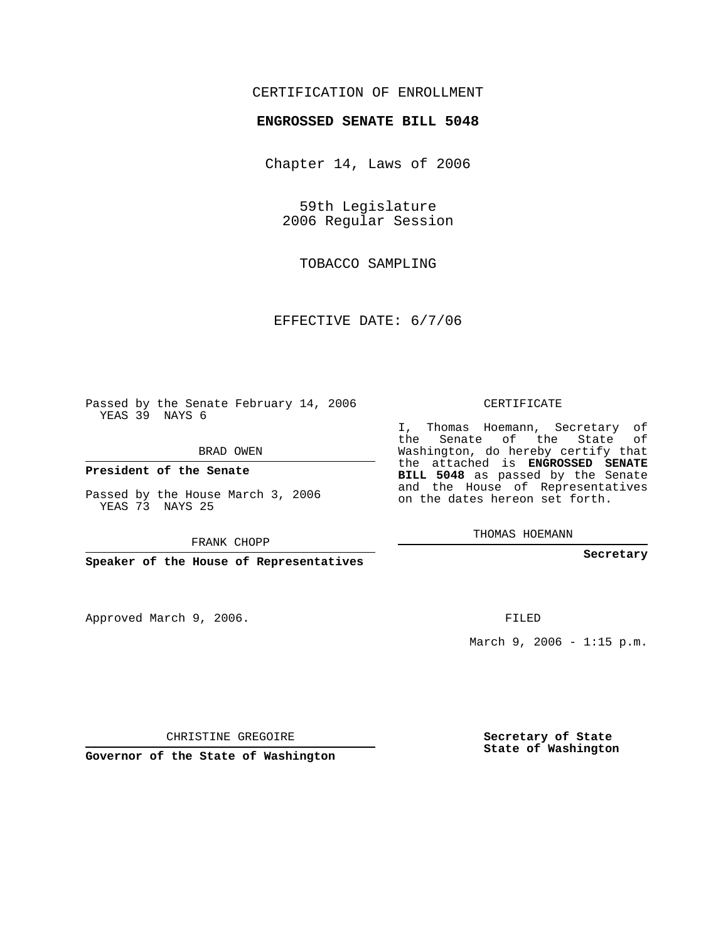## CERTIFICATION OF ENROLLMENT

## **ENGROSSED SENATE BILL 5048**

Chapter 14, Laws of 2006

59th Legislature 2006 Regular Session

TOBACCO SAMPLING

EFFECTIVE DATE: 6/7/06

Passed by the Senate February 14, 2006 YEAS 39 NAYS 6

BRAD OWEN

**President of the Senate**

Passed by the House March 3, 2006 YEAS 73 NAYS 25

FRANK CHOPP

**Speaker of the House of Representatives**

Approved March 9, 2006.

CERTIFICATE

I, Thomas Hoemann, Secretary of the Senate of the State of Washington, do hereby certify that the attached is **ENGROSSED SENATE BILL 5048** as passed by the Senate and the House of Representatives on the dates hereon set forth.

THOMAS HOEMANN

**Secretary**

FILED

March 9, 2006 - 1:15 p.m.

CHRISTINE GREGOIRE

**Governor of the State of Washington**

**Secretary of State State of Washington**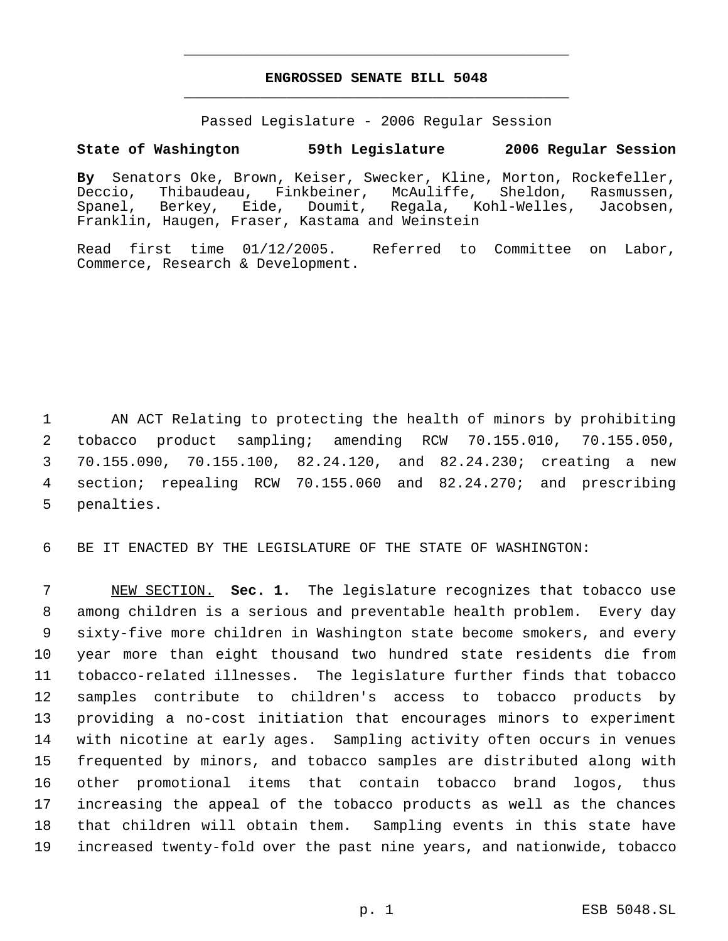## **ENGROSSED SENATE BILL 5048** \_\_\_\_\_\_\_\_\_\_\_\_\_\_\_\_\_\_\_\_\_\_\_\_\_\_\_\_\_\_\_\_\_\_\_\_\_\_\_\_\_\_\_\_\_

\_\_\_\_\_\_\_\_\_\_\_\_\_\_\_\_\_\_\_\_\_\_\_\_\_\_\_\_\_\_\_\_\_\_\_\_\_\_\_\_\_\_\_\_\_

Passed Legislature - 2006 Regular Session

## **State of Washington 59th Legislature 2006 Regular Session**

**By** Senators Oke, Brown, Keiser, Swecker, Kline, Morton, Rockefeller, Deccio, Thibaudeau, Finkbeiner, McAuliffe, Sheldon, Rasmussen,<br>Spanel, Berkey, Eide, Doumit, Regala, Kohl-Welles, Jacobsen, Spanel, Berkey, Eide, Doumit, Regala, Kohl-Welles, Jacobsen, Franklin, Haugen, Fraser, Kastama and Weinstein

Read first time 01/12/2005. Referred to Committee on Labor, Commerce, Research & Development.

 AN ACT Relating to protecting the health of minors by prohibiting tobacco product sampling; amending RCW 70.155.010, 70.155.050, 70.155.090, 70.155.100, 82.24.120, and 82.24.230; creating a new section; repealing RCW 70.155.060 and 82.24.270; and prescribing penalties.

BE IT ENACTED BY THE LEGISLATURE OF THE STATE OF WASHINGTON:

 NEW SECTION. **Sec. 1.** The legislature recognizes that tobacco use among children is a serious and preventable health problem. Every day sixty-five more children in Washington state become smokers, and every year more than eight thousand two hundred state residents die from tobacco-related illnesses. The legislature further finds that tobacco samples contribute to children's access to tobacco products by providing a no-cost initiation that encourages minors to experiment with nicotine at early ages. Sampling activity often occurs in venues frequented by minors, and tobacco samples are distributed along with other promotional items that contain tobacco brand logos, thus increasing the appeal of the tobacco products as well as the chances that children will obtain them. Sampling events in this state have increased twenty-fold over the past nine years, and nationwide, tobacco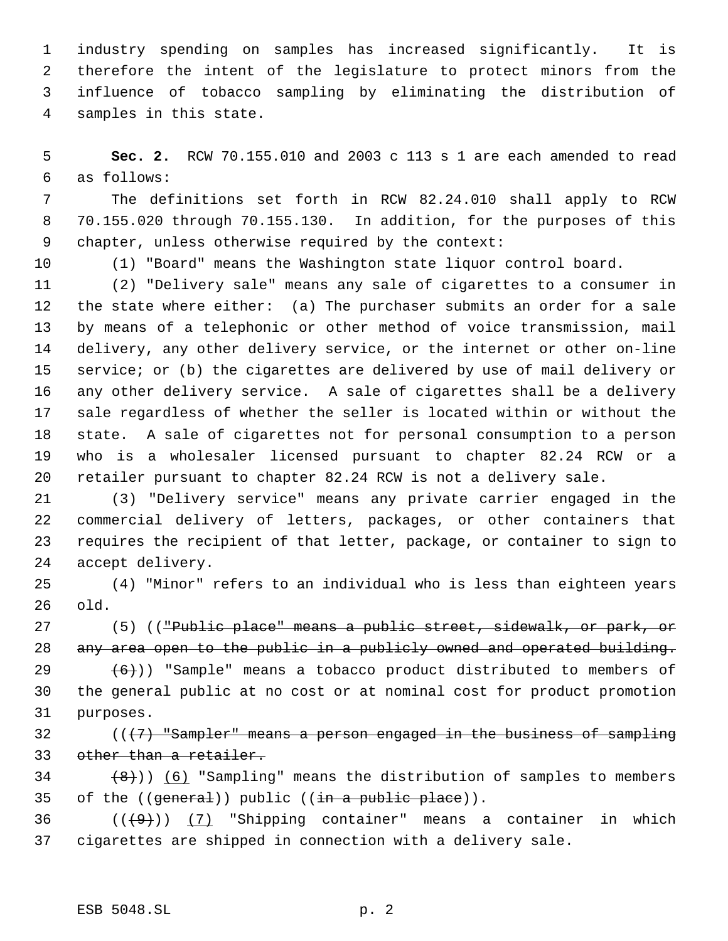industry spending on samples has increased significantly. It is therefore the intent of the legislature to protect minors from the influence of tobacco sampling by eliminating the distribution of samples in this state.

 **Sec. 2.** RCW 70.155.010 and 2003 c 113 s 1 are each amended to read as follows:

 The definitions set forth in RCW 82.24.010 shall apply to RCW 70.155.020 through 70.155.130. In addition, for the purposes of this chapter, unless otherwise required by the context:

(1) "Board" means the Washington state liquor control board.

 (2) "Delivery sale" means any sale of cigarettes to a consumer in the state where either: (a) The purchaser submits an order for a sale by means of a telephonic or other method of voice transmission, mail delivery, any other delivery service, or the internet or other on-line service; or (b) the cigarettes are delivered by use of mail delivery or any other delivery service. A sale of cigarettes shall be a delivery sale regardless of whether the seller is located within or without the state. A sale of cigarettes not for personal consumption to a person who is a wholesaler licensed pursuant to chapter 82.24 RCW or a retailer pursuant to chapter 82.24 RCW is not a delivery sale.

 (3) "Delivery service" means any private carrier engaged in the commercial delivery of letters, packages, or other containers that requires the recipient of that letter, package, or container to sign to accept delivery.

 (4) "Minor" refers to an individual who is less than eighteen years old.

27 (5) (("Public place" means a public street, sidewalk, or park, or any area open to the public in a publicly owned and operated building.

29  $(6)$ )) "Sample" means a tobacco product distributed to members of the general public at no cost or at nominal cost for product promotion purposes.

 $(17)$  "Sampler" means a person engaged in the business of sampling other than a retailer.

 $(8)$ )) (6) "Sampling" means the distribution of samples to members 35 of the  $((\text{general}))$  public  $((\text{in a public place})).$ 

36  $((+9))$   $(7)$  "Shipping container" means a container in which cigarettes are shipped in connection with a delivery sale.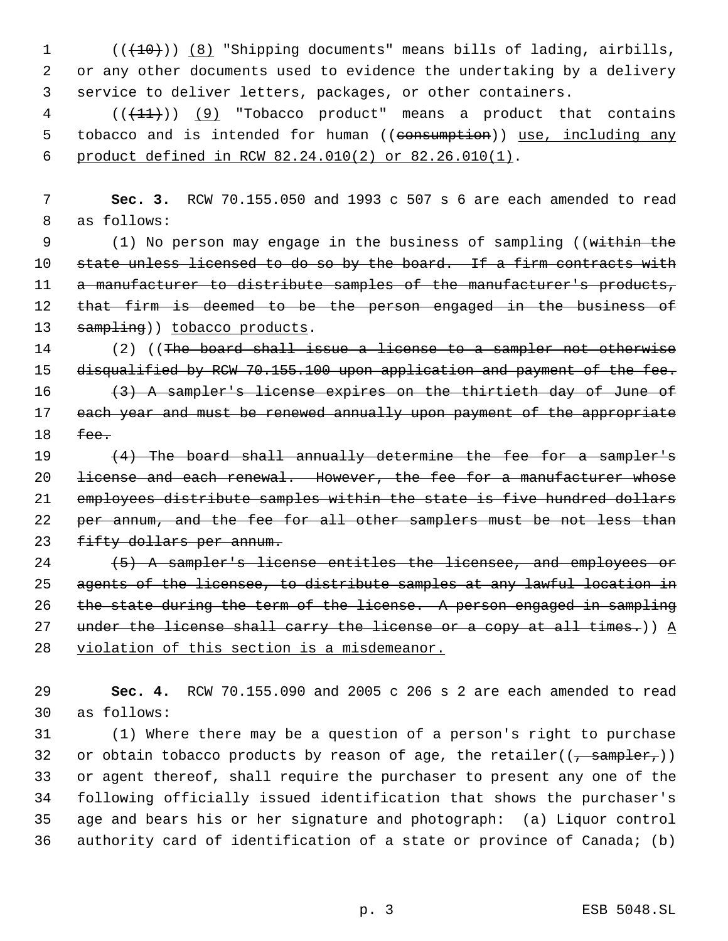1 (( $(10)$ )) (8) "Shipping documents" means bills of lading, airbills, 2 or any other documents used to evidence the undertaking by a delivery 3 service to deliver letters, packages, or other containers.

 $4$  ( $(\overline{+11})$ ) (9) "Tobacco product" means a product that contains 5 tobacco and is intended for human ((consumption)) use, including any 6 product defined in RCW 82.24.010(2) or 82.26.010(1).

 7 **Sec. 3.** RCW 70.155.050 and 1993 c 507 s 6 are each amended to read 8 as follows:

9 (1) No person may engage in the business of sampling ((within the 10 state unless licensed to do so by the board. If a firm contracts with 11 a manufacturer to distribute samples of the manufacturer's products, 12 that firm is deemed to be the person engaged in the business of 13 sampling)) tobacco products.

14 (2) ((The board shall issue a license to a sampler not otherwise 15 disqualified by RCW 70.155.100 upon application and payment of the fee. 16 (3) A sampler's license expires on the thirtieth day of June of 17 each year and must be renewed annually upon payment of the appropriate 18 fee.

19  $(4)$  The board shall annually determine the fee for a sampler's 20 <del>license and each renewal. However, the fee for a manufacturer whose</del> 21 employees distribute samples within the state is five hundred dollars 22 per annum, and the fee for all other samplers must be not less than 23 fifty dollars per annum.

24 (5) A sampler's license entitles the licensee, and employees or 25 agents of the licensee, to distribute samples at any lawful location in 26 the state during the term of the license. A person engaged in sampling 27 under the license shall carry the license or a copy at all times.))  $\underline{A}$ 28 violation of this section is a misdemeanor.

29 **Sec. 4.** RCW 70.155.090 and 2005 c 206 s 2 are each amended to read 30 as follows:

 (1) Where there may be a question of a person's right to purchase 32 or obtain tobacco products by reason of age, the retailer( $(\frac{1}{2} \frac{1}{2}$ )) or agent thereof, shall require the purchaser to present any one of the following officially issued identification that shows the purchaser's age and bears his or her signature and photograph: (a) Liquor control authority card of identification of a state or province of Canada; (b)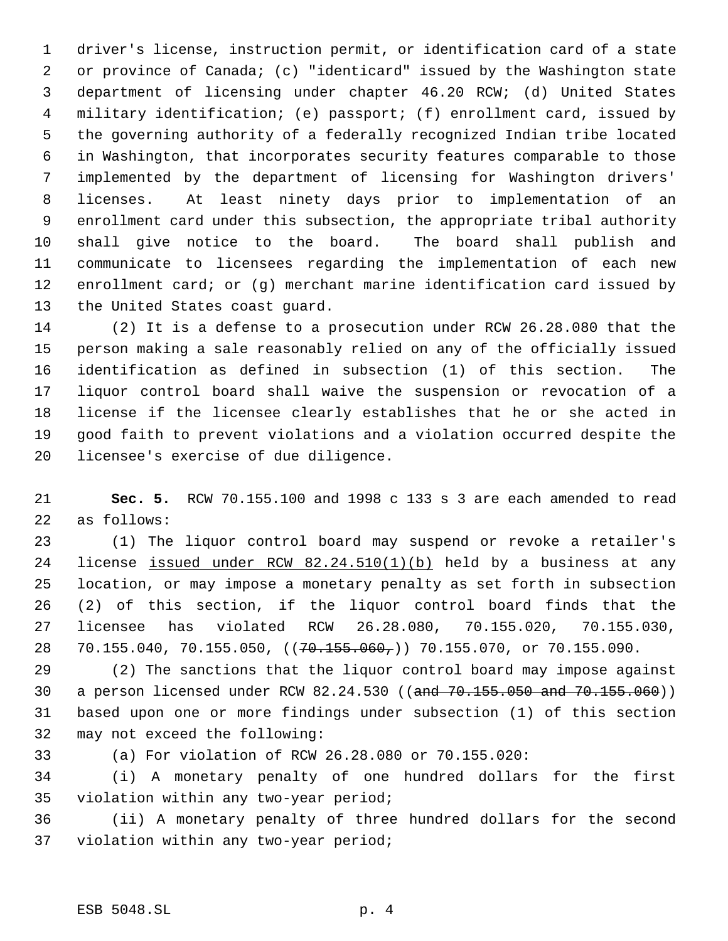driver's license, instruction permit, or identification card of a state or province of Canada; (c) "identicard" issued by the Washington state department of licensing under chapter 46.20 RCW; (d) United States military identification; (e) passport; (f) enrollment card, issued by the governing authority of a federally recognized Indian tribe located in Washington, that incorporates security features comparable to those implemented by the department of licensing for Washington drivers' licenses. At least ninety days prior to implementation of an enrollment card under this subsection, the appropriate tribal authority shall give notice to the board. The board shall publish and communicate to licensees regarding the implementation of each new enrollment card; or (g) merchant marine identification card issued by the United States coast guard.

 (2) It is a defense to a prosecution under RCW 26.28.080 that the person making a sale reasonably relied on any of the officially issued identification as defined in subsection (1) of this section. The liquor control board shall waive the suspension or revocation of a license if the licensee clearly establishes that he or she acted in good faith to prevent violations and a violation occurred despite the licensee's exercise of due diligence.

 **Sec. 5.** RCW 70.155.100 and 1998 c 133 s 3 are each amended to read as follows:

 (1) The liquor control board may suspend or revoke a retailer's license issued under RCW 82.24.510(1)(b) held by a business at any location, or may impose a monetary penalty as set forth in subsection (2) of this section, if the liquor control board finds that the licensee has violated RCW 26.28.080, 70.155.020, 70.155.030, 28 70.155.040, 70.155.050, ((<del>70.155.060,</del>)) 70.155.070, or 70.155.090.

 (2) The sanctions that the liquor control board may impose against a person licensed under RCW 82.24.530 ((and 70.155.050 and 70.155.060)) based upon one or more findings under subsection (1) of this section may not exceed the following:

(a) For violation of RCW 26.28.080 or 70.155.020:

 (i) A monetary penalty of one hundred dollars for the first violation within any two-year period;

 (ii) A monetary penalty of three hundred dollars for the second violation within any two-year period;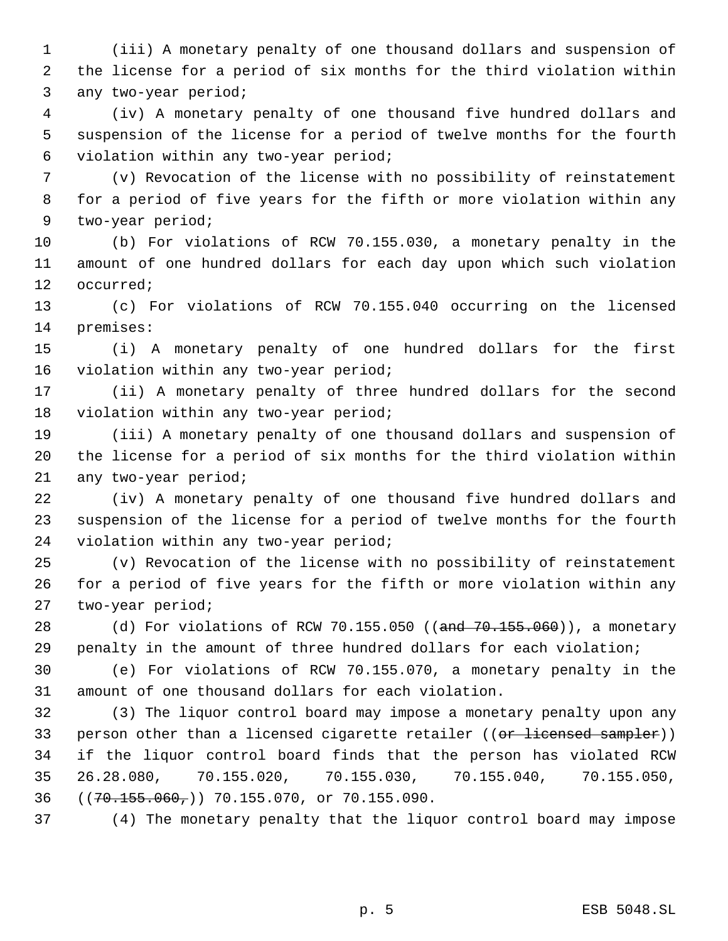(iii) A monetary penalty of one thousand dollars and suspension of the license for a period of six months for the third violation within any two-year period;

 (iv) A monetary penalty of one thousand five hundred dollars and suspension of the license for a period of twelve months for the fourth violation within any two-year period;

 (v) Revocation of the license with no possibility of reinstatement for a period of five years for the fifth or more violation within any two-year period;

 (b) For violations of RCW 70.155.030, a monetary penalty in the amount of one hundred dollars for each day upon which such violation occurred;

 (c) For violations of RCW 70.155.040 occurring on the licensed premises:

 (i) A monetary penalty of one hundred dollars for the first violation within any two-year period;

 (ii) A monetary penalty of three hundred dollars for the second violation within any two-year period;

 (iii) A monetary penalty of one thousand dollars and suspension of the license for a period of six months for the third violation within any two-year period;

 (iv) A monetary penalty of one thousand five hundred dollars and suspension of the license for a period of twelve months for the fourth violation within any two-year period;

 (v) Revocation of the license with no possibility of reinstatement for a period of five years for the fifth or more violation within any two-year period;

28 (d) For violations of RCW 70.155.050 ((and 70.155.060)), a monetary penalty in the amount of three hundred dollars for each violation;

 (e) For violations of RCW 70.155.070, a monetary penalty in the amount of one thousand dollars for each violation.

 (3) The liquor control board may impose a monetary penalty upon any 33 person other than a licensed cigarette retailer ((or licensed sampler)) if the liquor control board finds that the person has violated RCW 26.28.080, 70.155.020, 70.155.030, 70.155.040, 70.155.050, ((70.155.060,)) 70.155.070, or 70.155.090.

(4) The monetary penalty that the liquor control board may impose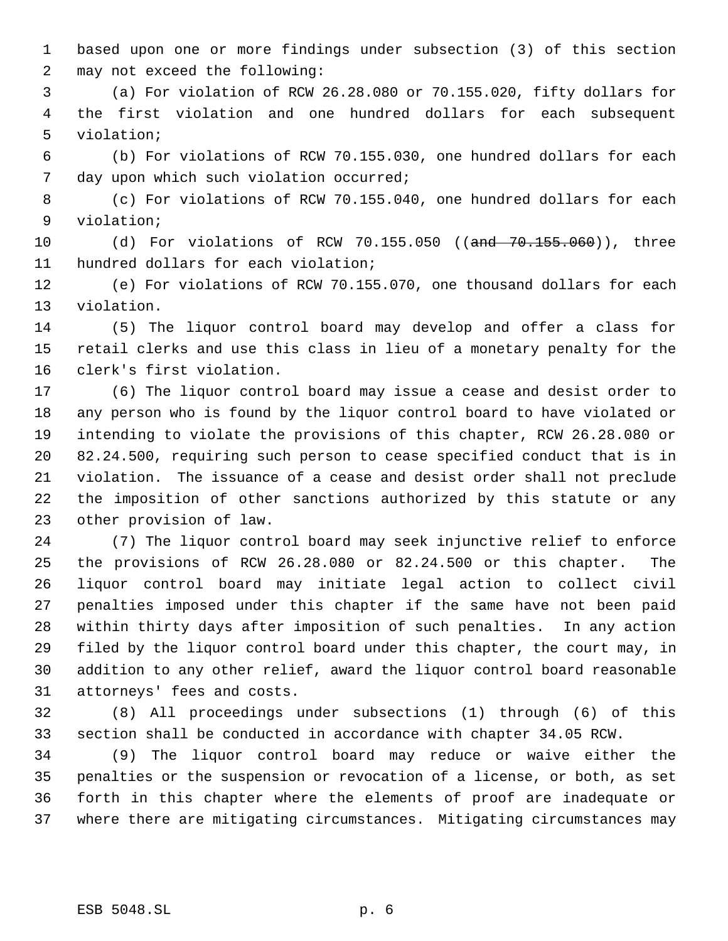based upon one or more findings under subsection (3) of this section may not exceed the following:

 (a) For violation of RCW 26.28.080 or 70.155.020, fifty dollars for the first violation and one hundred dollars for each subsequent violation;

 (b) For violations of RCW 70.155.030, one hundred dollars for each day upon which such violation occurred;

 (c) For violations of RCW 70.155.040, one hundred dollars for each violation;

10 (d) For violations of RCW 70.155.050 ((and 70.155.060)), three hundred dollars for each violation;

 (e) For violations of RCW 70.155.070, one thousand dollars for each violation.

 (5) The liquor control board may develop and offer a class for retail clerks and use this class in lieu of a monetary penalty for the clerk's first violation.

 (6) The liquor control board may issue a cease and desist order to any person who is found by the liquor control board to have violated or intending to violate the provisions of this chapter, RCW 26.28.080 or 82.24.500, requiring such person to cease specified conduct that is in violation. The issuance of a cease and desist order shall not preclude the imposition of other sanctions authorized by this statute or any other provision of law.

 (7) The liquor control board may seek injunctive relief to enforce the provisions of RCW 26.28.080 or 82.24.500 or this chapter. The liquor control board may initiate legal action to collect civil penalties imposed under this chapter if the same have not been paid within thirty days after imposition of such penalties. In any action filed by the liquor control board under this chapter, the court may, in addition to any other relief, award the liquor control board reasonable attorneys' fees and costs.

 (8) All proceedings under subsections (1) through (6) of this section shall be conducted in accordance with chapter 34.05 RCW.

 (9) The liquor control board may reduce or waive either the penalties or the suspension or revocation of a license, or both, as set forth in this chapter where the elements of proof are inadequate or where there are mitigating circumstances. Mitigating circumstances may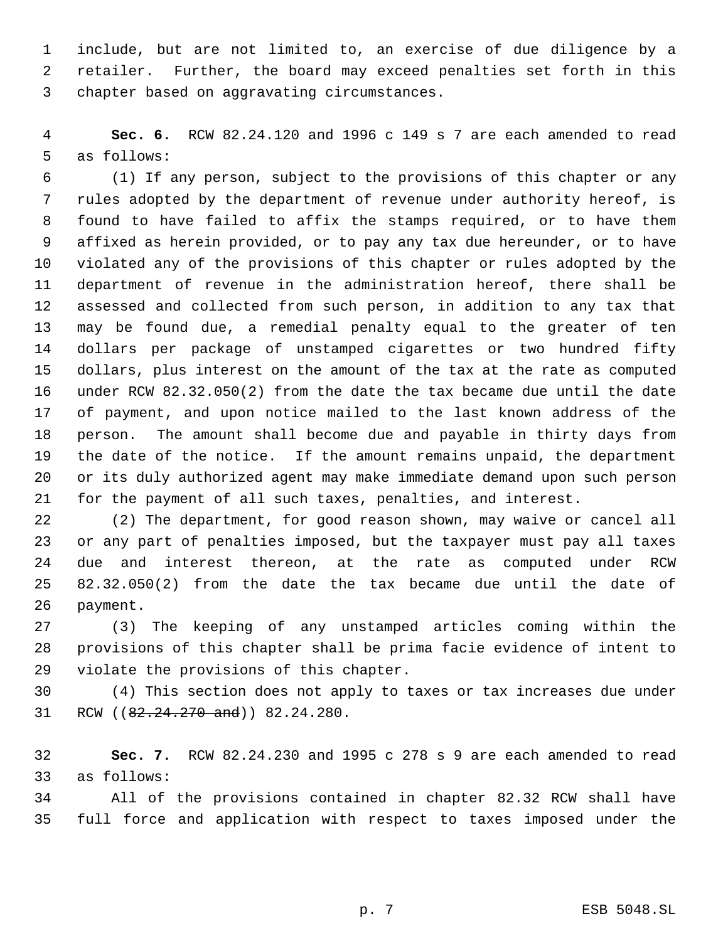include, but are not limited to, an exercise of due diligence by a retailer. Further, the board may exceed penalties set forth in this chapter based on aggravating circumstances.

 **Sec. 6.** RCW 82.24.120 and 1996 c 149 s 7 are each amended to read as follows:

 (1) If any person, subject to the provisions of this chapter or any rules adopted by the department of revenue under authority hereof, is found to have failed to affix the stamps required, or to have them affixed as herein provided, or to pay any tax due hereunder, or to have violated any of the provisions of this chapter or rules adopted by the department of revenue in the administration hereof, there shall be assessed and collected from such person, in addition to any tax that may be found due, a remedial penalty equal to the greater of ten dollars per package of unstamped cigarettes or two hundred fifty dollars, plus interest on the amount of the tax at the rate as computed under RCW 82.32.050(2) from the date the tax became due until the date of payment, and upon notice mailed to the last known address of the person. The amount shall become due and payable in thirty days from the date of the notice. If the amount remains unpaid, the department or its duly authorized agent may make immediate demand upon such person for the payment of all such taxes, penalties, and interest.

 (2) The department, for good reason shown, may waive or cancel all or any part of penalties imposed, but the taxpayer must pay all taxes due and interest thereon, at the rate as computed under RCW 82.32.050(2) from the date the tax became due until the date of payment.

 (3) The keeping of any unstamped articles coming within the provisions of this chapter shall be prima facie evidence of intent to violate the provisions of this chapter.

 (4) This section does not apply to taxes or tax increases due under 31 RCW ((82.24.270 and)) 82.24.280.

 **Sec. 7.** RCW 82.24.230 and 1995 c 278 s 9 are each amended to read as follows:

 All of the provisions contained in chapter 82.32 RCW shall have full force and application with respect to taxes imposed under the